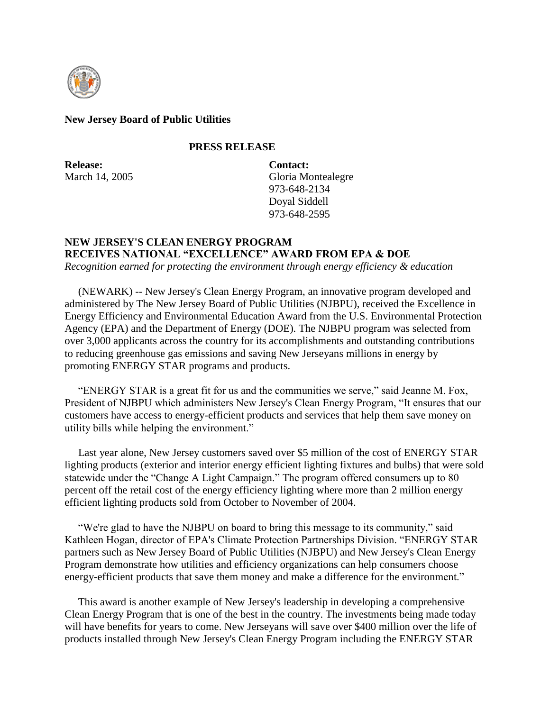

### **New Jersey Board of Public Utilities**

#### **PRESS RELEASE**

**Release:** March 14, 2005 **Contact:** Gloria Montealegre 973-648-2134 Doyal Siddell 973-648-2595

# **NEW JERSEY'S CLEAN ENERGY PROGRAM RECEIVES NATIONAL "EXCELLENCE" AWARD FROM EPA & DOE**

*Recognition earned for protecting the environment through energy efficiency & education*

 (NEWARK) -- New Jersey's Clean Energy Program, an innovative program developed and administered by The New Jersey Board of Public Utilities (NJBPU), received the Excellence in Energy Efficiency and Environmental Education Award from the U.S. Environmental Protection Agency (EPA) and the Department of Energy (DOE). The NJBPU program was selected from over 3,000 applicants across the country for its accomplishments and outstanding contributions to reducing greenhouse gas emissions and saving New Jerseyans millions in energy by promoting ENERGY STAR programs and products.

 "ENERGY STAR is a great fit for us and the communities we serve," said Jeanne M. Fox, President of NJBPU which administers New Jersey's Clean Energy Program, "It ensures that our customers have access to energy-efficient products and services that help them save money on utility bills while helping the environment."

 Last year alone, New Jersey customers saved over \$5 million of the cost of ENERGY STAR lighting products (exterior and interior energy efficient lighting fixtures and bulbs) that were sold statewide under the "Change A Light Campaign." The program offered consumers up to 80 percent off the retail cost of the energy efficiency lighting where more than 2 million energy efficient lighting products sold from October to November of 2004.

 "We're glad to have the NJBPU on board to bring this message to its community," said Kathleen Hogan, director of EPA's Climate Protection Partnerships Division. "ENERGY STAR partners such as New Jersey Board of Public Utilities (NJBPU) and New Jersey's Clean Energy Program demonstrate how utilities and efficiency organizations can help consumers choose energy-efficient products that save them money and make a difference for the environment."

 This award is another example of New Jersey's leadership in developing a comprehensive Clean Energy Program that is one of the best in the country. The investments being made today will have benefits for years to come. New Jerseyans will save over \$400 million over the life of products installed through New Jersey's Clean Energy Program including the ENERGY STAR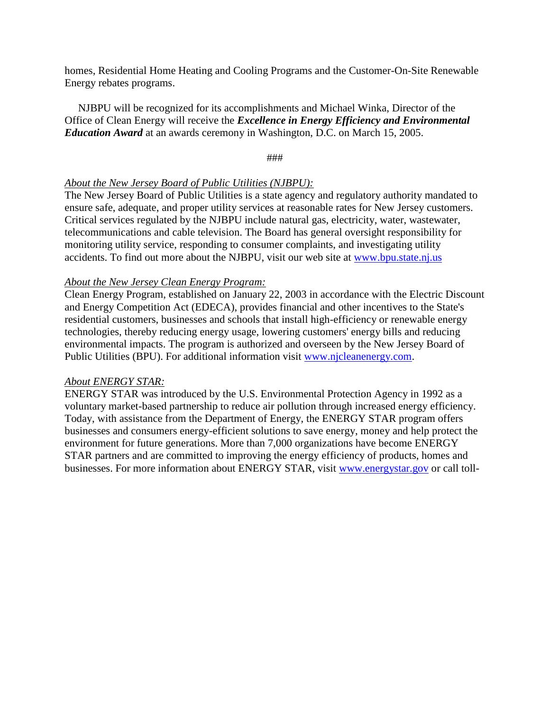homes, Residential Home Heating and Cooling Programs and the Customer-On-Site Renewable Energy rebates programs.

 NJBPU will be recognized for its accomplishments and Michael Winka, Director of the Office of Clean Energy will receive the *Excellence in Energy Efficiency and Environmental Education Award* at an awards ceremony in Washington, D.C. on March 15, 2005.

###

## *About the New Jersey Board of Public Utilities (NJBPU):*

The New Jersey Board of Public Utilities is a state agency and regulatory authority mandated to ensure safe, adequate, and proper utility services at reasonable rates for New Jersey customers. Critical services regulated by the NJBPU include natural gas, electricity, water, wastewater, telecommunications and cable television. The Board has general oversight responsibility for monitoring utility service, responding to consumer complaints, and investigating utility accidents. To find out more about the NJBPU, visit our web site at [www.bpu.state.nj.us](http://www.bpu.state.nj.us/)

### *About the New Jersey Clean Energy Program:*

Clean Energy Program, established on January 22, 2003 in accordance with the Electric Discount and Energy Competition Act (EDECA), provides financial and other incentives to the State's residential customers, businesses and schools that install high-efficiency or renewable energy technologies, thereby reducing energy usage, lowering customers' energy bills and reducing environmental impacts. The program is authorized and overseen by the New Jersey Board of Public Utilities (BPU). For additional information visit [www.njcleanenergy.com.](http://www.njcleanenergy.com/)

## *About ENERGY STAR:*

ENERGY STAR was introduced by the U.S. Environmental Protection Agency in 1992 as a voluntary market-based partnership to reduce air pollution through increased energy efficiency. Today, with assistance from the Department of Energy, the ENERGY STAR program offers businesses and consumers energy-efficient solutions to save energy, money and help protect the environment for future generations. More than 7,000 organizations have become ENERGY STAR partners and are committed to improving the energy efficiency of products, homes and businesses. For more information about ENERGY STAR, visit [www.energystar.gov](http://www.energystar.gov/) or call toll-